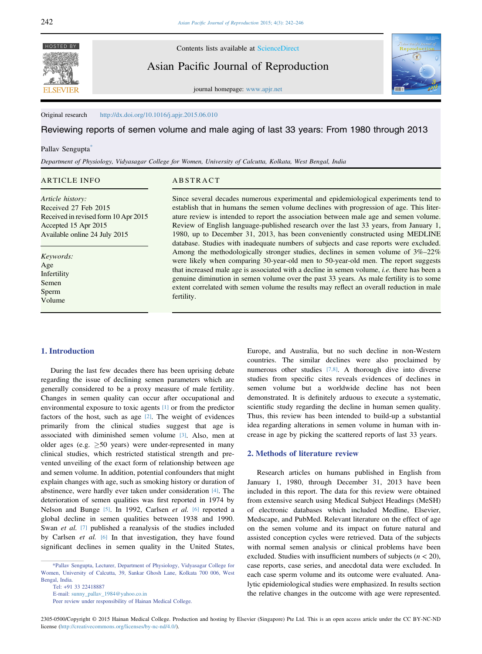**FI SEVIER** 

HOSTED BY Contents lists available at [ScienceDirect](www.sciencedirect.com/science/journal/23050500)

Asian Pacific Journal of Reproduction



journal homepage: [www.apjr.net](http://www.apjr.net)

Original research <http://dx.doi.org/10.1016/j.apjr.2015.06.010>

Reviewing reports of semen volume and male aging of last 33 years: From 1980 through 2013

#### Pallav Sengupta<sup>\*</sup>

Department of Physiology, Vidyasagar College for Women, University of Calcutta, Kolkata, West Bengal, India

# ARTICLE INFO

# ABSTRACT

Article history: Received 27 Feb 2015 Received in revised form 10 Apr 2015 Accepted 15 Apr 2015 Available online 24 July 2015

Keywords: Age **Infertility** Semen Sperm Volume

## 1. Introduction

During the last few decades there has been uprising debate regarding the issue of declining semen parameters which are generally considered to be a proxy measure of male fertility. Changes in semen quality can occur after occupational and environmental exposure to toxic agents [\[1\]](#page-3-0) or from the predictor factors of the host, such as age [\[2\]](#page-3-0). The weight of evidences primarily from the clinical studies suggest that age is associated with diminished semen volume [\[3\]](#page-3-0). Also, men at older ages (e.g.  $\geq 50$  years) were under-represented in many clinical studies, which restricted statistical strength and prevented unveiling of the exact form of relationship between age and semen volume. In addition, potential confounders that might explain changes with age, such as smoking history or duration of abstinence, were hardly ever taken under consideration [\[4\].](#page-3-0) The deterioration of semen qualities was first reported in 1974 by Nelson and Bunge [\[5\]](#page-3-0). In 1992, Carlsen et al. [\[6\]](#page-3-0) reported a global decline in semen qualities between 1938 and 1990. Swan et al. [\[7\]](#page-3-0) published a reanalysis of the studies included by Carlsen et al. [\[6\]](#page-3-0) In that investigation, they have found significant declines in semen quality in the United States,

E-mail: [sunny\\_pallav\\_1984@yahoo.co.in](mailto:sunny_pallav_1984@yahoo.co.in)

Since several decades numerous experimental and epidemiological experiments tend to establish that in humans the semen volume declines with progression of age. This literature review is intended to report the association between male age and semen volume. Review of English language-published research over the last 33 years, from January 1, 1980, up to December 31, 2013, has been conveniently constructed using MEDLINE database. Studies with inadequate numbers of subjects and case reports were excluded. Among the methodologically stronger studies, declines in semen volume of 3%–22% were likely when comparing 30-year-old men to 50-year-old men. The report suggests that increased male age is associated with a decline in semen volume, i.e. there has been a genuine diminution in semen volume over the past 33 years. As male fertility is to some extent correlated with semen volume the results may reflect an overall reduction in male fertility.

> Europe, and Australia, but no such decline in non-Western countries. The similar declines were also proclaimed by numerous other studies [\[7,8\]](#page-3-0). A thorough dive into diverse studies from specific cites reveals evidences of declines in semen volume but a worldwide decline has not been demonstrated. It is definitely arduous to execute a systematic, scientific study regarding the decline in human semen quality. Thus, this review has been intended to build-up a substantial idea regarding alterations in semen volume in human with increase in age by picking the scattered reports of last 33 years.

## 2. Methods of literature review

Research articles on humans published in English from January 1, 1980, through December 31, 2013 have been included in this report. The data for this review were obtained from extensive search using Medical Subject Headings (MeSH) of electronic databases which included Medline, Elsevier, Medscape, and PubMed. Relevant literature on the effect of age on the semen volume and its impact on future natural and assisted conception cycles were retrieved. Data of the subjects with normal semen analysis or clinical problems have been excluded. Studies with insufficient numbers of subjects  $(n < 20)$ , case reports, case series, and anecdotal data were excluded. In each case sperm volume and its outcome were evaluated. Analytic epidemiological studies were emphasized. In results section the relative changes in the outcome with age were represented.

2305-0500/Copyright © 2015 Hainan Medical College. Production and hosting by Elsevier (Singapore) Pte Ltd. This is an open access article under the CC BY-NC-ND license ([http://creativecommons.org/licenses/by-nc-nd/4.0/\)](http://creativecommons.org/licenses/by-nc-nd/4.�0/).

<sup>\*</sup>Pallav Sengupta, Lecturer, Department of Physiology, Vidyasagar College for Women, University of Calcutta, 39, Sankar Ghosh Lane, Kolkata 700 006, West Bengal, India.

Tel: +91 33 22418887

Peer review under responsibility of Hainan Medical College.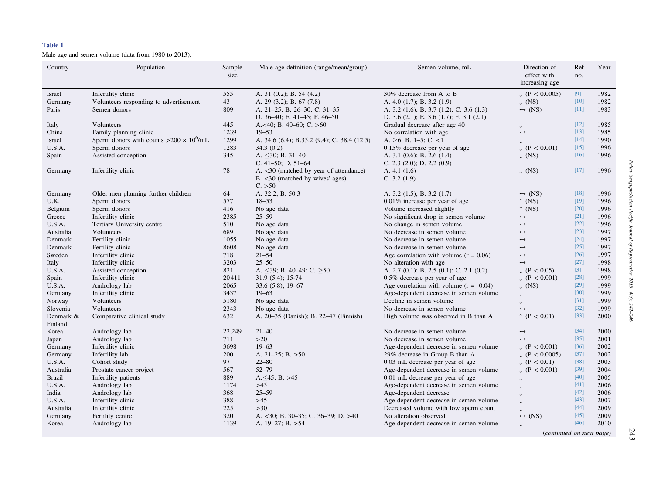#### <span id="page-1-0"></span>Table 1

Male age and semen volume (data from 1980 to 2013).

| Country       | Population                                      | Sample     | Male age definition (range/mean/group)       | Semen volume, mL                                 | Direction of                  | Ref    | Year |
|---------------|-------------------------------------------------|------------|----------------------------------------------|--------------------------------------------------|-------------------------------|--------|------|
|               |                                                 | size       |                                              |                                                  | effect with<br>increasing age | no.    |      |
| Israel        | Infertility clinic                              | 555        | A. 31 (0.2); B. 54 (4.2)                     | 30% decrease from A to B                         | $\downarrow$ (P < 0.0005)     | $[9]$  | 1982 |
| Germany       | Volunteers responding to advertisement          | 43         | A. 29 (3.2); B. 67 (7.8)                     | A. $4.0$ (1.7); B. $3.2$ (1.9)                   | $\downarrow$ (NS)             | $[10]$ | 1982 |
| Paris         | Semen donors                                    | 809        | A. 21-25; B. 26-30; C. 31-35                 | A. 3.2 (1.6); B. 3.7 (1.2); C. 3.6 (1.3)         | $\leftrightarrow$ (NS)        | $[11]$ | 1983 |
|               |                                                 |            | D. $36-40$ ; E. $41-45$ ; F. $46-50$         | D. 3.6 $(2.1)$ ; E. 3.6 $(1.7)$ ; F. 3.1 $(2.1)$ |                               |        |      |
| Italy         | Volunteers                                      | 445        | A. $<40$ ; B. 40-60; C. $>60$                | Gradual decrease after age 40                    |                               | [12]   | 1985 |
| China         | Family planning clinic                          | 1239       | $19 - 53$                                    | No correlation with age                          | $\leftrightarrow$             | $[13]$ | 1985 |
| Israel        | Sperm donors with counts $>200 \times 10^6$ /mL | 1299       | A. 34.6 (6.4); B.35.2 (9.4); C. 38.4 (12.5)  | A. $>6$ ; B. 1–5; C. <1                          |                               | $[14]$ | 1990 |
| U.S.A.        | Sperm donors                                    | 1283       | 34.3(0.2)                                    | $0.15\%$ decrease per year of age                | $\downarrow$ (P < 0.001)      | $[15]$ | 1996 |
| Spain         | Assisted conception                             | 345        | A. $\leq$ 30; B. 31–40                       | A. 3.1 $(0.6)$ ; B. 2.6 $(1.4)$                  | $\downarrow$ (NS)             | $[16]$ | 1996 |
|               |                                                 |            | C. $41-50$ ; D. $51-64$                      | C. 2.3 $(2.0)$ ; D. 2.2 $(0.9)$                  |                               |        |      |
| Germany       | Infertility clinic                              | 78         | A. <30 (matched by year of attendance)       | A. $4.1(1.6)$                                    | $\downarrow$ (NS)             | $[17]$ | 1996 |
|               |                                                 |            | B. <30 (matched by wives' ages)<br>C. > 50   | C. $3.2(1.9)$                                    |                               |        |      |
| Germany       | Older men planning further children             | 64         | A. 32.2; B. 50.3                             | A. $3.2$ (1.5); B. $3.2$ (1.7)                   | $\leftrightarrow$ (NS)        | $[18]$ | 1996 |
| U.K.          | Sperm donors                                    | 577        | $18 - 53$                                    | $0.01\%$ increase per year of age                | $\uparrow$ (NS)               | $[19]$ | 1996 |
| Belgium       | Sperm donors                                    | 416        | No age data                                  | Volume increased slightly                        | $\uparrow$ (NS)               | [20]   | 1996 |
| Greece        | Infertility clinic                              | 2385       | $25 - 59$                                    | No significant drop in semen volume              | $\leftrightarrow$             | $[21]$ | 1996 |
| U.S.A.        | Tertiary University centre                      | 510        | No age data                                  | No change in semen volume                        | $\leftrightarrow$             | $[22]$ | 1996 |
| Australia     | Volunteers                                      | 689        | No age data                                  | No decrease in semen volume                      | $\leftrightarrow$             | $[23]$ | 1997 |
| Denmark       | Fertility clinic                                | 1055       | No age data                                  | No decrease in semen volume                      | $\leftrightarrow$             | $[24]$ | 1997 |
| Denmark       | Fertility clinic                                | 8608       | No age data                                  | No decrease in semen volume                      | $\leftrightarrow$             | $[25]$ | 1997 |
| Sweden        | Infertility clinic                              | 718        | $21 - 54$                                    | Age correlation with volume $(r = 0.06)$         | $\leftrightarrow$             | $[26]$ | 1997 |
| Italy         | Infertility clinic                              | 3203       | $25 - 50$                                    | No alteration with age                           | $\leftrightarrow$             | $[27]$ | 1998 |
| U.S.A.        | Assisted conception                             | 821        | A. $\leq$ 39; B. 40–49; C. $\geq$ 50         | A. 2.7 $(0.1)$ ; B. 2.5 $(0.1)$ ; C. 2.1 $(0.2)$ | $\downarrow$ (P < 0.05)       | $[3]$  | 1998 |
| Spain         | Infertility clinic                              | 20411      | $31.9(5.4); 15-74$                           | $0.5\%$ decrease per year of age                 | $\downarrow$ (P < 0.001)      | $[28]$ | 1999 |
| U.S.A.        | Andrology lab                                   | 2065       | $33.6(5.8); 19-67$                           | Age correlation with volume $(r = 0.04)$         | $\perp$ (NS)                  | $[29]$ | 1999 |
| Germany       | Infertility clinic                              | 3437       | $19 - 63$                                    | Age-dependent decrease in semen volume           |                               | $[30]$ | 1999 |
| Norway        | Volunteers                                      | 5180       | No age data                                  | Decline in semen volume                          |                               | $[31]$ | 1999 |
| Slovenia      | Volunteers                                      | 2343       | No age data                                  | No decrease in semen volume                      | $\leftrightarrow$             | $[32]$ | 1999 |
| Denmark &     | Comparative clinical study                      | 632        | A. 20–35 (Danish); B. 22–47 (Finnish)        | High volume was observed in B than A             | $\uparrow$ (P < 0.01)         | $[33]$ | 2000 |
| Finland       |                                                 |            |                                              |                                                  |                               |        |      |
| Korea         | Andrology lab                                   | 22,249     | $21 - 40$                                    | No decrease in semen volume                      | $\leftrightarrow$             | $[34]$ | 2000 |
| Japan         | Andrology lab                                   | 711        | >20                                          | No decrease in semen volume                      | $\leftrightarrow$             | $[35]$ | 2001 |
| Germany       | Infertility clinic                              | 3698       | $19 - 63$                                    | Age-dependent decrease in semen volume           | $\downarrow$ (P < 0.001)      | $[36]$ | 2002 |
| Germany       | Infertility lab                                 | <b>200</b> | A. $21-25$ ; B. $>50$                        | 29% decrease in Group B than A                   | $\downarrow$ (P < 0.0005)     | $[37]$ | 2002 |
| U.S.A.        | Cohort study                                    | 97         | $22 - 80$                                    | 0.03 mL decrease per year of age                 | $\downarrow$ (P < 0.01)       | $[38]$ | 2003 |
| Australia     | Prostate cancer project                         | 567        | $52 - 79$                                    | Age-dependent decrease in semen volume           | $\downarrow$ (P < 0.001)      | $[39]$ | 2004 |
| <b>Brazil</b> | Infertility patients                            | 889        | $A. \leq 45$ ; B. $>45$                      | 0.01 mL decrease per year of age                 |                               | $[40]$ | 2005 |
| U.S.A.        | Andrology lab                                   | 1174       | $>45$                                        | Age-dependent decrease in semen volume           |                               | $[41]$ | 2006 |
| India         | Andrology lab                                   | 368        | $25 - 59$                                    | Age-dependent decrease                           |                               | $[42]$ | 2006 |
| U.S.A.        | Infertility clinic                              | 388        | $>45$                                        | Age-dependent decrease in semen volume           |                               | $[43]$ | 2007 |
| Australia     | Infertility clinic                              | 225        | $>30$                                        | Decreased volume with low sperm count            |                               | $[44]$ | 2009 |
| Germany       | Fertility centre                                | 320        | A. $\langle 30; B. 30-35; C. 36-39; D. > 40$ | No alteration observed                           | $\leftrightarrow$ (NS)        | [45]   | 2009 |
| Korea         | Andrology lab                                   | 1139       | A. $19-27$ ; B. $>54$                        | Age-dependent decrease in semen volume           |                               | [46]   | 2010 |
|               |                                                 |            |                                              |                                                  | (continued on next page)      |        |      |

Pallav Sengupta/Asian Pacific Journal of Reproduction 2015; 4(3): 242 Pallav Sengupta/Asian Pacific Journal of Reproduction 2015; 4(3): 242-246

243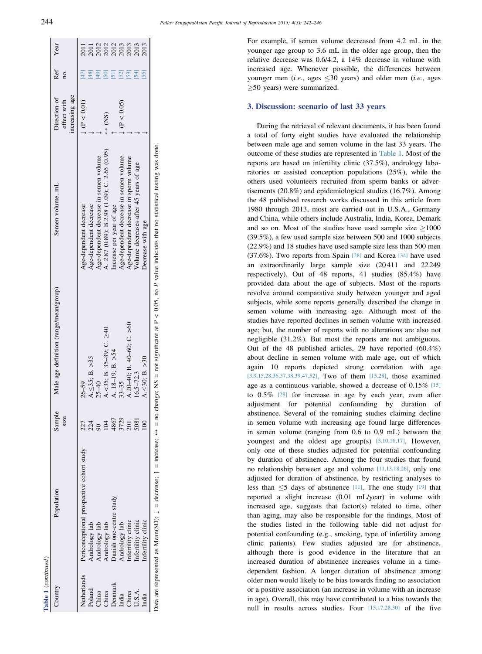| Table 1 (continued) |                                           |                                                      |                                        |                                               |                                               |                   |                                      |
|---------------------|-------------------------------------------|------------------------------------------------------|----------------------------------------|-----------------------------------------------|-----------------------------------------------|-------------------|--------------------------------------|
|                     | Population                                | Sample<br>size                                       | Male age definition (range/mean/group) | Semen volume, mL                              | increasing age<br>Direction of<br>effect with | Ref<br>no.        | Year                                 |
|                     | Periconceptional prospective cohort study | 227                                                  | $26 - 59$                              | Age-dependent decrease                        | (P < 0.01)                                    | $[47]$            | 2011                                 |
|                     | andrology lab                             | $224$<br>$904$<br>$104$<br>$4867$<br>$3729$<br>$201$ | $A \leq 35$ ; B. > 35                  | Age-dependent decrease                        |                                               |                   | 2011                                 |
|                     | Andrology lab                             |                                                      | $25 - 40$                              | Age-dependent decrease in semen volume        |                                               |                   |                                      |
|                     | Andrology lab                             |                                                      | $-55$ ; B. 35-39; C. $\geq 40$         | A. 2.87 (0.89); B.2.98 (1.09); C. 2.65 (0.95) | $\frac{1}{2}$                                 | $\overline{[50]}$ | 2012<br>2012<br>2013<br>2013<br>2013 |
|                     | Danish one-centre study                   |                                                      | A. $18-19$ ; B. $>54$                  | Increase per year of age                      |                                               | $[51]$            |                                      |
|                     | Andrology lab                             |                                                      | $33 - 35$                              | Age-dependent decrease in semen volume        | (P < 0.05)                                    | [52]              |                                      |
|                     | Infertility clinic                        |                                                      | $.20-40$ ; B. 40-60; C. >60            | Age-dependent decrease in sperm volume        |                                               | 53]               |                                      |
|                     | Infertility clinic                        | 5081                                                 | $6.5 - 72.3$                           | Volume decreases after 45 years of age        |                                               | [54]              |                                      |
|                     | Infertility clinic                        |                                                      | $\leq 30$ ; B. > 30                    | Decrease with age                             |                                               | [55]              | 2013                                 |

P value indicates that no statistical testing was done. no change: NS = not significant at P < 0.05, no P value indicates that no statistical testing was done.  $< 0.05$ , no  $\leftrightarrow$  = no change; NS = not significant at P  $\boldsymbol{\mathsf{II}}$  $\updownarrow$ are represented as Mean(SD);  $\downarrow$  = decrease;  $\uparrow$  = increase; Data are represented as Mean(SD);  $\downarrow$  = decrease;  $\uparrow$  = increase; Data

For example, if semen volume decreased from 4.2 mL in the younger age group to 3.6 mL in the older age group, then the relative decrease was 0.6/4.2, a 14% decrease in volume with increased age. Whenever possible, the differences between younger men (*i.e.*, ages  $\leq 30$  years) and older men (*i.e.*, ages  $\geq$ 50 years) were summarized.

## 3. Discussion: scenario of last 33 years

During the retrieval of relevant documents, it has been found a total of forty eight studies have evaluated the relationship between male age and semen volume in the last 33 years. The outcome of these studies are represented in [Table 1.](#page-1-0) Most of the reports are based on infertility clinic (37.5%), andrology laboratories or assisted conception populations (25%), while the others used volunteers recruited from sperm banks or advertisements (20.8%) and epidemiological studies (16.7%). Among the 48 published research works discussed in this article from 1980 through 2013, most are carried out in U.S.A., Germany and China, while others include Australia, India, Korea, Demark and so on. Most of the studies have used sample size  $>1000$ (39.5%), a few used sample size between 500 and 1000 subjects (22.9%) and 18 studies have used sample size less than 500 men (37.6%). Two reports from Spain [\[28\]](#page-3-0) and Korea [\[34\]](#page-3-0) have used an extraordinarily large sample size (20 411 and 22 249 respectively). Out of 48 reports, 41 studies (85.4%) have provided data about the age of subjects. Most of the reports revolve around comparative study between younger and aged subjects, while some reports generally described the change in semen volume with increasing age. Although most of the studies have reported declines in semen volume with increased age; but, the number of reports with no alterations are also not negligible (31.2%). But most the reports are not ambiguous. Out of the 48 published articles, 29 have reported (60.4%) about decline in semen volume with male age, out of which again 10 reports depicted strong correlation with age [\[3,9,15,28,36,37,38,39,47,52\].](#page-3-0) Two of them [\[15,28\]](#page-3-0), those examined age as a continuous variable, showed a decrease of 0.15% [\[15\]](#page-3-0) to 0.5% [\[28\]](#page-3-0) for increase in age by each year, even after adjustment for potential confounding by duration of abstinence. Several of the remaining studies claiming decline in semen volume with increasing age found large differences in semen volume (ranging from 0.6 to 0.9 mL) between the youngest and the oldest age group(s) [\[3,10,16,17\]](#page-3-0). However, only one of these studies adjusted for potential confounding by duration of abstinence. Among the four studies that found no relationship between age and volume [\[11,13,18,26\],](#page-3-0) only one adjusted for duration of abstinence, by restricting analyses to less than  $\leq$ 5 days of abstinence [\[11\].](#page-3-0) The one study [\[19\]](#page-3-0) that reported a slight increase (0.01 mL/year) in volume with increased age, suggests that factor(s) related to time, other than aging, may also be responsible for the findings. Most of the studies listed in the following table did not adjust for potential confounding (e.g., smoking, type of infertility among clinic patients). Few studies adjusted are for abstinence, although there is good evidence in the literature that an increased duration of abstinence increases volume in a timedependent fashion. A longer duration of abstinence among older men would likely to be bias towards finding no association or a positive association (an increase in volume with an increase in age). Overall, this may have contributed to a bias towards the null in results across studies. Four [\[15,17,28,30\]](#page-3-0) of the five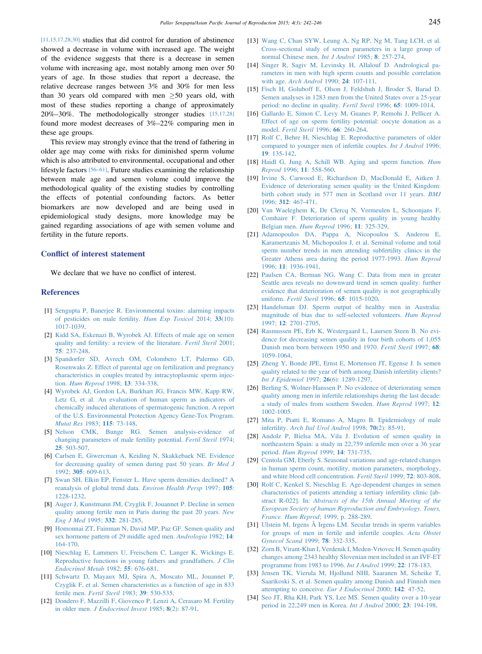<span id="page-3-0"></span>[11,15,17,28,30] studies that did control for duration of abstinence showed a decrease in volume with increased age. The weight of the evidence suggests that there is a decrease in semen volume with increasing age, most notably among men over 50 years of age. In those studies that report a decrease, the relative decrease ranges between 3% and 30% for men less than 30 years old compared with men  $>50$  years old, with most of these studies reporting a change of approximately 20%–30%. The methodologically stronger studies [15,17,28] found more modest decreases of 3%–22% comparing men in these age groups.

This review may strongly evince that the trend of fathering in older age may come with risks for diminished sperm volume which is also attributed to environmental, occupational and other lifestyle factors [56–[61\]](#page-4-0). Future studies examining the relationship between male age and semen volume could improve the methodological quality of the existing studies by controlling the effects of potential confounding factors. As better biomarkers are now developed and are being used in epidemiological study designs, more knowledge may be gained regarding associations of age with semen volume and fertility in the future reports.

## Conflict of interest statement

We declare that we have no conflict of interest.

## References

- [1] [Sengupta P, Banerjee R. Environmental toxins: alarming impacts](http://refhub.elsevier.com/S2305-0500(15)00013-5/sref1) [of pesticides on male fertility.](http://refhub.elsevier.com/S2305-0500(15)00013-5/sref1) Hum Exp Toxicol 2014; 33(10): [1017-1039](http://refhub.elsevier.com/S2305-0500(15)00013-5/sref1).
- [2] [Kidd SA, Eskenazi B, Wyrobek AJ. Effects of male age on semen](http://refhub.elsevier.com/S2305-0500(15)00013-5/sref2) [quality and fertility: a review of the literature.](http://refhub.elsevier.com/S2305-0500(15)00013-5/sref2) Fertil Steril 2001; 75[: 237-248](http://refhub.elsevier.com/S2305-0500(15)00013-5/sref2).
- [3] [Spandorfer SD, Avrech OM, Colombero LT, Palermo GD,](http://refhub.elsevier.com/S2305-0500(15)00013-5/sref3) [Rosenwaks Z. Effect of parental age on fertilization and pregnancy](http://refhub.elsevier.com/S2305-0500(15)00013-5/sref3) [characteristics in couples treated by intracytoplasmic sperm injec](http://refhub.elsevier.com/S2305-0500(15)00013-5/sref3)tion. [Hum Reprod](http://refhub.elsevier.com/S2305-0500(15)00013-5/sref3) 1998; 13: 334-338.
- [4] [Wyrobek AJ, Gordon LA, Burkhart JG, Francis MW, Kapp RW,](http://refhub.elsevier.com/S2305-0500(15)00013-5/sref4) [Letz G, et al. An evaluation of human sperm as indicators of](http://refhub.elsevier.com/S2305-0500(15)00013-5/sref4) [chemically induced alterations of spermatogenic function. A report](http://refhub.elsevier.com/S2305-0500(15)00013-5/sref4) [of the U.S. Environmental Protection Agency Gene-Tox Program.](http://refhub.elsevier.com/S2305-0500(15)00013-5/sref4) [Mutat Res](http://refhub.elsevier.com/S2305-0500(15)00013-5/sref4) 1983; 115: 73-148.
- [5] [Nelson CMK, Bunge RG. Semen analysis-evidence of](http://refhub.elsevier.com/S2305-0500(15)00013-5/sref5) [changing parameters of male fertility potential.](http://refhub.elsevier.com/S2305-0500(15)00013-5/sref5) Fertil Steril 1974; 25[: 503-507.](http://refhub.elsevier.com/S2305-0500(15)00013-5/sref5)
- [6] [Carlsen E, Giwercman A, Keiding N, Skakkebaek NE. Evidence](http://refhub.elsevier.com/S2305-0500(15)00013-5/sref6) [for decreasing quality of semen during past 50 years.](http://refhub.elsevier.com/S2305-0500(15)00013-5/sref6) Br Med J 1992; 305[: 609-613.](http://refhub.elsevier.com/S2305-0500(15)00013-5/sref6)
- [7] [Swan SH, Elkin EP, Fenster L. Have sperm densities declined? A](http://refhub.elsevier.com/S2305-0500(15)00013-5/sref7) [reanalysis of global trend data.](http://refhub.elsevier.com/S2305-0500(15)00013-5/sref7) Environ Health Persp 1997; 105: [1228-1232](http://refhub.elsevier.com/S2305-0500(15)00013-5/sref7).
- [8] [Auger J, Kunstmann JM, Czyglik F, Jouannet P. Decline in semen](http://refhub.elsevier.com/S2305-0500(15)00013-5/sref8) [quality among fertile men in Paris during the past 20 years.](http://refhub.elsevier.com/S2305-0500(15)00013-5/sref8) New [Eng J Med](http://refhub.elsevier.com/S2305-0500(15)00013-5/sref8) 1995; 332: 281-285.
- [9] [Homonnai ZT, Fainman N, David MP, Paz GF. Semen quality and](http://refhub.elsevier.com/S2305-0500(15)00013-5/sref9) [sex hormone pattern of 29 middle aged men.](http://refhub.elsevier.com/S2305-0500(15)00013-5/sref9) Andrologia 1982; 14: [164-170.](http://refhub.elsevier.com/S2305-0500(15)00013-5/sref9)
- [10] [Nieschlag E, Lammers U, Freischem C, Langer K, Wickings E.](http://refhub.elsevier.com/S2305-0500(15)00013-5/sref10) [Reproductive functions in young fathers and grandfathers.](http://refhub.elsevier.com/S2305-0500(15)00013-5/sref10) J Clin [Endocrinol Metab](http://refhub.elsevier.com/S2305-0500(15)00013-5/sref10) 1982; 55: 676-681.
- [11] [Schwartz D, Mayaux MJ, Spira A, Moscato ML, Jouannet P,](http://refhub.elsevier.com/S2305-0500(15)00013-5/sref11) [Czyglik F, et al. Semen characteristics as a function of age in 833](http://refhub.elsevier.com/S2305-0500(15)00013-5/sref11) fertile men. [Fertil Steril](http://refhub.elsevier.com/S2305-0500(15)00013-5/sref11) 1983; 39: 530-535.
- [12] [Dondero F, Mazzilli F, Giovenco P, Lenzi A, Cerasaro M. Fertility](http://refhub.elsevier.com/S2305-0500(15)00013-5/sref12) in older men. [J Endocrinol Invest](http://refhub.elsevier.com/S2305-0500(15)00013-5/sref12) 1985; 8(2): 87-91.
- [13] [Wang C, Chan SYW, Leung A, Ng RP, Ng M, Tang LCH, et al.](http://refhub.elsevier.com/S2305-0500(15)00013-5/sref13) [Cross-sectional study of semen parameters in a large group of](http://refhub.elsevier.com/S2305-0500(15)00013-5/sref13) [normal Chinese men.](http://refhub.elsevier.com/S2305-0500(15)00013-5/sref13) Int J Androl 1985; 8: 257-274.
- [14] [Singer R, Sagiv M, Levinsky H, Allalouf D. Andrological pa](http://refhub.elsevier.com/S2305-0500(15)00013-5/sref14)[rameters in men with high sperm counts and possible correlation](http://refhub.elsevier.com/S2305-0500(15)00013-5/sref14) with age. [Arch Androl](http://refhub.elsevier.com/S2305-0500(15)00013-5/sref14) 1990; 24: 107-111.
- [15] [Fisch H, Goluboff E, Olson J, Feldshuh J, Broder S, Barad D.](http://refhub.elsevier.com/S2305-0500(15)00013-5/sref15) [Semen analyses in 1283 men from the United States over a 25-year](http://refhub.elsevier.com/S2305-0500(15)00013-5/sref15) [period: no decline in quality.](http://refhub.elsevier.com/S2305-0500(15)00013-5/sref15) Fertil Steril 1996; 65: 1009-1014.
- [16] [Gallardo E, Simon C, Levy M, Guanes P, Remohi J, Pellicer A.](http://refhub.elsevier.com/S2305-0500(15)00013-5/sref16) [Effect of age on sperm fertility potential: oocyte donation as a](http://refhub.elsevier.com/S2305-0500(15)00013-5/sref16) model. [Fertil Steril](http://refhub.elsevier.com/S2305-0500(15)00013-5/sref16) 1996; 66: 260-264.
- [17] [Rolf C, Behre H, Nieschlag E. Reproductive parameters of older](http://refhub.elsevier.com/S2305-0500(15)00013-5/sref17) [compared to younger men of infertile couples.](http://refhub.elsevier.com/S2305-0500(15)00013-5/sref17) Int J Androl 1996; 19[: 135-142](http://refhub.elsevier.com/S2305-0500(15)00013-5/sref17).
- [18] [Haidl G, Jung A, Schill WB. Aging and sperm function.](http://refhub.elsevier.com/S2305-0500(15)00013-5/sref18) Hum Reprod 1996; 11[: 558-560.](http://refhub.elsevier.com/S2305-0500(15)00013-5/sref18)
- [19] [Irvine S, Carwood E, Richardson D, MacDonald E, Aitken J.](http://refhub.elsevier.com/S2305-0500(15)00013-5/sref19) [Evidence of deteriorating semen quality in the United Kingdom:](http://refhub.elsevier.com/S2305-0500(15)00013-5/sref19) [birth cohort study in 577 men in Scotland over 11 years.](http://refhub.elsevier.com/S2305-0500(15)00013-5/sref19) BMJ 1996; 312[: 467-471.](http://refhub.elsevier.com/S2305-0500(15)00013-5/sref19)
- [20] [Van Waeleghem K, De Clercq N, Vermeulen L, Schoonjans F,](http://refhub.elsevier.com/S2305-0500(15)00013-5/sref20) [Comhaire F. Deterioration of sperm quality in young healthy](http://refhub.elsevier.com/S2305-0500(15)00013-5/sref20) [Belgian men.](http://refhub.elsevier.com/S2305-0500(15)00013-5/sref20) Hum Reprod 1996; 11: 325-329.
- [21] [Adamopoulos DA, Pappa A, Nicopoulou S, Anderou E,](http://refhub.elsevier.com/S2305-0500(15)00013-5/sref21) [Karamertzanis M, Michopoulos J, et al. Seminal volume and total](http://refhub.elsevier.com/S2305-0500(15)00013-5/sref21) [sperm number trends in men attending subfertility clinics in the](http://refhub.elsevier.com/S2305-0500(15)00013-5/sref21) [Greater Athens area during the period 1977-1993.](http://refhub.elsevier.com/S2305-0500(15)00013-5/sref21) Hum Reprod 1996; 11[: 1936-1941.](http://refhub.elsevier.com/S2305-0500(15)00013-5/sref21)
- [22] [Paulsen CA, Berman NG, Wang C. Data from men in greater](http://refhub.elsevier.com/S2305-0500(15)00013-5/sref22) [Seattle area reveals no downward trend in semen quality: further](http://refhub.elsevier.com/S2305-0500(15)00013-5/sref22) [evidence that deterioration of semen quality is not geographically](http://refhub.elsevier.com/S2305-0500(15)00013-5/sref22) uniform. Fertil Steril 1996; 65[: 1015-1020.](http://refhub.elsevier.com/S2305-0500(15)00013-5/sref22)
- [23] [Handelsman DJ. Sperm output of healthy men in Australia:](http://refhub.elsevier.com/S2305-0500(15)00013-5/sref23) [magnitude of bias due to self-selected volunteers.](http://refhub.elsevier.com/S2305-0500(15)00013-5/sref23) Hum Reprod 1997; 12[: 2701-2705.](http://refhub.elsevier.com/S2305-0500(15)00013-5/sref23)
- [24] [Rasmussen PE, Erb K, Westergaard L, Laursen Steen B. No evi](http://refhub.elsevier.com/S2305-0500(15)00013-5/sref24)[dence for decreasing semen quality in four birth cohorts of 1,055](http://refhub.elsevier.com/S2305-0500(15)00013-5/sref24) [Danish men born between 1950 and 1970.](http://refhub.elsevier.com/S2305-0500(15)00013-5/sref24) Fertil Steril 1997; 68: [1059-1064.](http://refhub.elsevier.com/S2305-0500(15)00013-5/sref24)
- [25] [Zheng Y, Bonde JPE, Ernst E, Mortensen JT, Egense J. Is semen](http://refhub.elsevier.com/S2305-0500(15)00013-5/sref25) [quality related to the year of birth among Danish infertility clients?](http://refhub.elsevier.com/S2305-0500(15)00013-5/sref25) [Int J Epidemiol](http://refhub.elsevier.com/S2305-0500(15)00013-5/sref25) 1997; 26(6): 1289-1297.
- [26] [Berling S, Wolner-Hanssen P. No evidence of deteriorating semen](http://refhub.elsevier.com/S2305-0500(15)00013-5/sref26) [quality among men in infertile relationships during the last decade:](http://refhub.elsevier.com/S2305-0500(15)00013-5/sref26) [a study of males from southern Sweden.](http://refhub.elsevier.com/S2305-0500(15)00013-5/sref26) Hum Reprod 1997; 12: [1002-1005.](http://refhub.elsevier.com/S2305-0500(15)00013-5/sref26)
- [27] [Mita P, Piatti E, Romano A, Magro B. Epidemiology of male](http://refhub.elsevier.com/S2305-0500(15)00013-5/sref27) infertility. [Arch Ital Urol Androl](http://refhub.elsevier.com/S2305-0500(15)00013-5/sref27) 1998; 70(2): 85-91.
- [28] [Andolz P, Bielsa MA, Vila J. Evolution of semen quality in](http://refhub.elsevier.com/S2305-0500(15)00013-5/sref28) [northeastern Spain: a study in 22,759 infertile men over a 36 year](http://refhub.elsevier.com/S2305-0500(15)00013-5/sref28) period. [Hum Reprod](http://refhub.elsevier.com/S2305-0500(15)00013-5/sref28) 1999; 14: 731-735.
- [29] [Centola GM, Eberly S. Seasonal variations and age-related changes](http://refhub.elsevier.com/S2305-0500(15)00013-5/sref29) [in human sperm count, motility, motion parameters, morphology,](http://refhub.elsevier.com/S2305-0500(15)00013-5/sref29) [and white blood cell concentration.](http://refhub.elsevier.com/S2305-0500(15)00013-5/sref29) Fertil Steril 1999; 72: 803-808.
- [30] [Rolf C, Kenkel S, Nieschlag E. Age-dependent changes in semen](http://refhub.elsevier.com/S2305-0500(15)00013-5/sref30) [characteristics of patients attending a tertiary infertility clinic \[ab](http://refhub.elsevier.com/S2305-0500(15)00013-5/sref30)stract R-022]. In: [Abstracts of the 15th Annual Meeting of the](http://refhub.elsevier.com/S2305-0500(15)00013-5/sref30) [European Society of human Reproduction and Embryology. Tours,](http://refhub.elsevier.com/S2305-0500(15)00013-5/sref30) [France. Hum Reprod](http://refhub.elsevier.com/S2305-0500(15)00013-5/sref30); 1999, p. 288-289.
- [31] [Ulstein M, Irgens Å Irgens LM. Secular trends in sperm variables](http://refhub.elsevier.com/S2305-0500(15)00013-5/sref31) [for groups of men in fertile and infertile couples.](http://refhub.elsevier.com/S2305-0500(15)00013-5/sref31) Acta Obstet [Gynecol Scand](http://refhub.elsevier.com/S2305-0500(15)00013-5/sref31) 1999; 78: 332-335.
- [32] [Zorn B, Virant-Klun I, Verdenik I, Meden-Vrtovec H. Semen quality](http://refhub.elsevier.com/S2305-0500(15)00013-5/sref32) [changes among 2343 healthy Slovenian men included in an IVF-ET](http://refhub.elsevier.com/S2305-0500(15)00013-5/sref32) [programme from 1983 to 1996.](http://refhub.elsevier.com/S2305-0500(15)00013-5/sref32) Int J Androl 1999; 22: 178-183.
- [33] [Jensen TK, Vierula M, Hjollund NHI, Saaranen M, Scheike T,](http://refhub.elsevier.com/S2305-0500(15)00013-5/sref33) [Saarikoski S, et al. Semen quality among Danish and Finnish men](http://refhub.elsevier.com/S2305-0500(15)00013-5/sref33) [attempting to conceive.](http://refhub.elsevier.com/S2305-0500(15)00013-5/sref33) Eur J Endocrinol 2000; 142: 47-52.
- [34] [Seo JT, Rha KH, Park YS, Lee MS. Semen quality over a 10-year](http://refhub.elsevier.com/S2305-0500(15)00013-5/sref34) [period in 22,249 men in Korea.](http://refhub.elsevier.com/S2305-0500(15)00013-5/sref34) Int J Androl 2000; 23: 194-198.